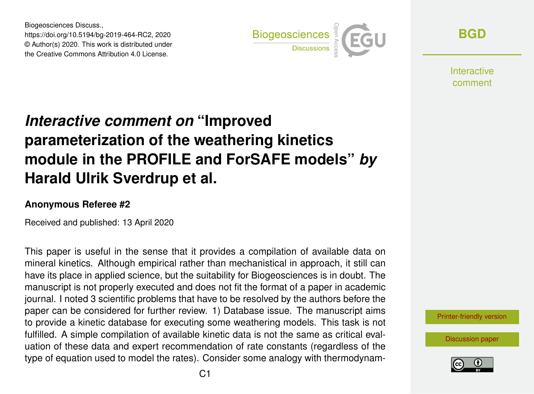Biogeosciences Discuss., https://doi.org/10.5194/bg-2019-464-RC2, 2020 © Author(s) 2020. This work is distributed under the Creative Commons Attribution 4.0 License.



**[BGD](https://www.biogeosciences-discuss.net/)**

**Interactive** comment

## *Interactive comment on* **"Improved parameterization of the weathering kinetics module in the PROFILE and ForSAFE models"** *by* **Harald Ulrik Sverdrup et al.**

## **Anonymous Referee #2**

Received and published: 13 April 2020

This paper is useful in the sense that it provides a compilation of available data on mineral kinetics. Although empirical rather than mechanistical in approach, it still can have its place in applied science, but the suitability for Biogeosciences is in doubt. The manuscript is not properly executed and does not fit the format of a paper in academic journal. I noted 3 scientific problems that have to be resolved by the authors before the paper can be considered for further review. 1) Database issue. The manuscript aims to provide a kinetic database for executing some weathering models. This task is not fulfilled. A simple compilation of available kinetic data is not the same as critical evaluation of these data and expert recommendation of rate constants (regardless of the type of equation used to model the rates). Consider some analogy with thermodynam-

[Printer-friendly version](https://www.biogeosciences-discuss.net/bg-2019-464/bg-2019-464-RC2-print.pdf)

[Discussion paper](https://www.biogeosciences-discuss.net/bg-2019-464)

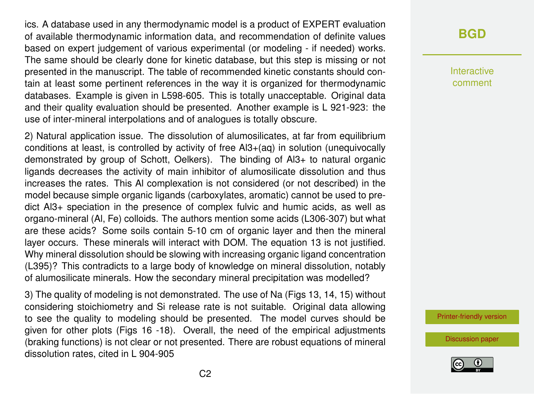ics. A database used in any thermodynamic model is a product of EXPERT evaluation of available thermodynamic information data, and recommendation of definite values based on expert judgement of various experimental (or modeling - if needed) works. The same should be clearly done for kinetic database, but this step is missing or not presented in the manuscript. The table of recommended kinetic constants should contain at least some pertinent references in the way it is organized for thermodynamic databases. Example is given in L598-605. This is totally unacceptable. Original data and their quality evaluation should be presented. Another example is L 921-923: the use of inter-mineral interpolations and of analogues is totally obscure.

2) Natural application issue. The dissolution of alumosilicates, at far from equilibrium conditions at least, is controlled by activity of free Al3+(aq) in solution (unequivocally demonstrated by group of Schott, Oelkers). The binding of Al3+ to natural organic ligands decreases the activity of main inhibitor of alumosilicate dissolution and thus increases the rates. This Al complexation is not considered (or not described) in the model because simple organic ligands (carboxylates, aromatic) cannot be used to predict Al3+ speciation in the presence of complex fulvic and humic acids, as well as organo-mineral (Al, Fe) colloids. The authors mention some acids (L306-307) but what are these acids? Some soils contain 5-10 cm of organic layer and then the mineral layer occurs. These minerals will interact with DOM. The equation 13 is not justified. Why mineral dissolution should be slowing with increasing organic ligand concentration (L395)? This contradicts to a large body of knowledge on mineral dissolution, notably of alumosilicate minerals. How the secondary mineral precipitation was modelled?

3) The quality of modeling is not demonstrated. The use of Na (Figs 13, 14, 15) without considering stoichiometry and Si release rate is not suitable. Original data allowing to see the quality to modeling should be presented. The model curves should be given for other plots (Figs 16 -18). Overall, the need of the empirical adjustments (braking functions) is not clear or not presented. There are robust equations of mineral dissolution rates, cited in L 904-905

## **[BGD](https://www.biogeosciences-discuss.net/)**

Interactive comment

[Printer-friendly version](https://www.biogeosciences-discuss.net/bg-2019-464/bg-2019-464-RC2-print.pdf)

[Discussion paper](https://www.biogeosciences-discuss.net/bg-2019-464)